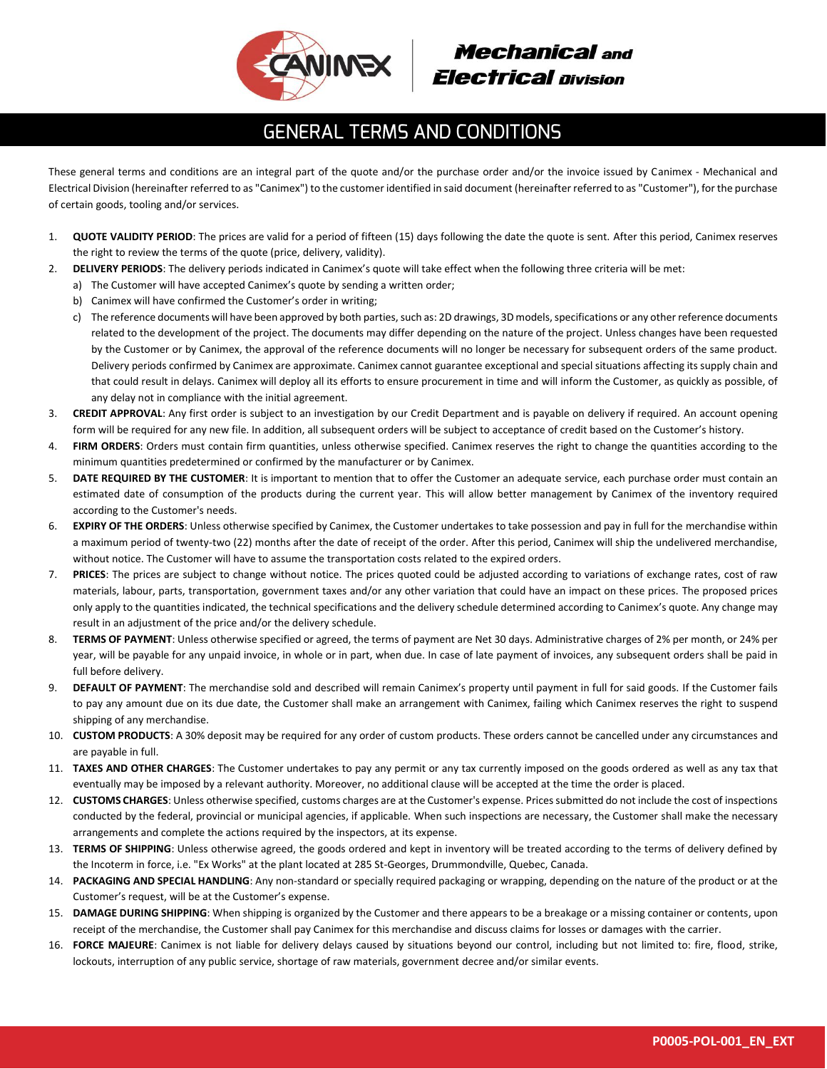

## **Mechanical and Electrical Division**

## **GENERAL TERMS AND CONDITIONS**

These general terms and conditions are an integral part of the quote and/or the purchase order and/or the invoice issued by Canimex - Mechanical and Electrical Division (hereinafter referred to as "Canimex") to the customer identified in said document (hereinafter referred to as "Customer"), for the purchase of certain goods, tooling and/or services.

- 1. **QUOTE VALIDITY PERIOD**: The prices are valid for a period of fifteen (15) days following the date the quote is sent. After this period, Canimex reserves the right to review the terms of the quote (price, delivery, validity).
- 2. **DELIVERY PERIODS**: The delivery periods indicated in Canimex's quote will take effect when the following three criteria will be met:
	- a) The Customer will have accepted Canimex's quote by sending a written order;
	- b) Canimex will have confirmed the Customer's order in writing;
	- c) The reference documents will have been approved by both parties, such as: 2D drawings, 3D models, specifications or any other reference documents related to the development of the project. The documents may differ depending on the nature of the project. Unless changes have been requested by the Customer or by Canimex, the approval of the reference documents will no longer be necessary for subsequent orders of the same product. Delivery periods confirmed by Canimex are approximate. Canimex cannot guarantee exceptional and special situations affecting its supply chain and that could result in delays. Canimex will deploy all its efforts to ensure procurement in time and will inform the Customer, as quickly as possible, of any delay not in compliance with the initial agreement.
- 3. **CREDIT APPROVAL**: Any first order is subject to an investigation by our Credit Department and is payable on delivery if required. An account opening form will be required for any new file. In addition, all subsequent orders will be subject to acceptance of credit based on the Customer's history.
- 4. **FIRM ORDERS**: Orders must contain firm quantities, unless otherwise specified. Canimex reserves the right to change the quantities according to the minimum quantities predetermined or confirmed by the manufacturer or by Canimex.
- 5. **DATE REQUIRED BY THE CUSTOMER**: It is important to mention that to offer the Customer an adequate service, each purchase order must contain an estimated date of consumption of the products during the current year. This will allow better management by Canimex of the inventory required according to the Customer's needs.
- 6. **EXPIRY OF THE ORDERS**: Unless otherwise specified by Canimex, the Customer undertakes to take possession and pay in full for the merchandise within a maximum period of twenty-two (22) months after the date of receipt of the order. After this period, Canimex will ship the undelivered merchandise, without notice. The Customer will have to assume the transportation costs related to the expired orders.
- 7. **PRICES**: The prices are subject to change without notice. The prices quoted could be adjusted according to variations of exchange rates, cost of raw materials, labour, parts, transportation, government taxes and/or any other variation that could have an impact on these prices. The proposed prices only apply to the quantities indicated, the technical specifications and the delivery schedule determined according to Canimex's quote. Any change may result in an adjustment of the price and/or the delivery schedule.
- 8. **TERMS OF PAYMENT**: Unless otherwise specified or agreed, the terms of payment are Net 30 days. Administrative charges of 2% per month, or 24% per year, will be payable for any unpaid invoice, in whole or in part, when due. In case of late payment of invoices, any subsequent orders shall be paid in full before delivery.
- 9. **DEFAULT OF PAYMENT**: The merchandise sold and described will remain Canimex's property until payment in full for said goods. If the Customer fails to pay any amount due on its due date, the Customer shall make an arrangement with Canimex, failing which Canimex reserves the right to suspend shipping of any merchandise.
- 10. **CUSTOM PRODUCTS**: A 30% deposit may be required for any order of custom products. These orders cannot be cancelled under any circumstances and are payable in full.
- 11. **TAXES AND OTHER CHARGES**: The Customer undertakes to pay any permit or any tax currently imposed on the goods ordered as well as any tax that eventually may be imposed by a relevant authority. Moreover, no additional clause will be accepted at the time the order is placed.
- 12. **CUSTOMS CHARGES**: Unless otherwise specified, customs charges are at the Customer's expense. Prices submitted do not include the cost of inspections conducted by the federal, provincial or municipal agencies, if applicable. When such inspections are necessary, the Customer shall make the necessary arrangements and complete the actions required by the inspectors, at its expense.
- 13. **TERMS OF SHIPPING**: Unless otherwise agreed, the goods ordered and kept in inventory will be treated according to the terms of delivery defined by the Incoterm in force, i.e. "Ex Works" at the plant located at 285 St-Georges, Drummondville, Quebec, Canada.
- 14. **PACKAGING AND SPECIAL HANDLING**: Any non-standard or specially required packaging or wrapping, depending on the nature of the product or at the Customer's request, will be at the Customer's expense.
- 15. **DAMAGE DURING SHIPPING**: When shipping is organized by the Customer and there appears to be a breakage or a missing container or contents, upon receipt of the merchandise, the Customer shall pay Canimex for this merchandise and discuss claims for losses or damages with the carrier.
- 16. **FORCE MAJEURE**: Canimex is not liable for delivery delays caused by situations beyond our control, including but not limited to: fire, flood, strike, lockouts, interruption of any public service, shortage of raw materials, government decree and/or similar events.